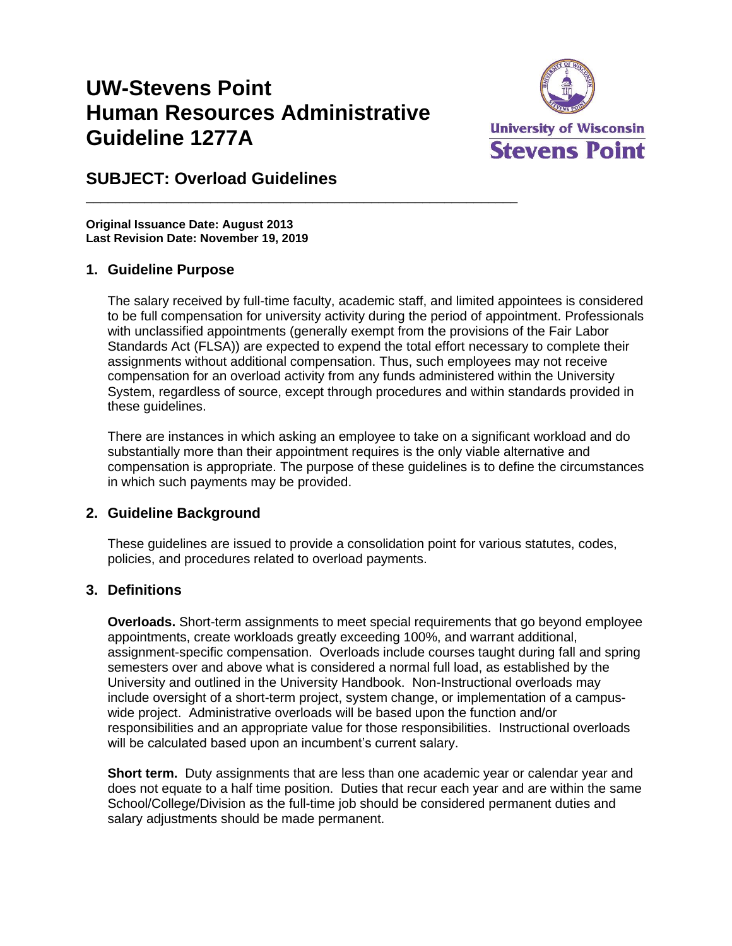# **UW-Stevens Point Human Resources Administrative Guideline 1277A**

\_\_\_\_\_\_\_\_\_\_\_\_\_\_\_\_\_\_\_\_\_\_\_\_\_\_\_\_\_\_\_\_\_\_\_\_\_\_\_\_\_\_\_\_\_\_\_\_\_\_\_\_\_\_\_\_\_\_\_



## **SUBJECT: Overload Guidelines**

**Original Issuance Date: August 2013 Last Revision Date: November 19, 2019**

#### **1. Guideline Purpose**

The salary received by full-time faculty, academic staff, and limited appointees is considered to be full compensation for university activity during the period of appointment. Professionals with unclassified appointments (generally exempt from the provisions of the Fair Labor Standards Act (FLSA)) are expected to expend the total effort necessary to complete their assignments without additional compensation. Thus, such employees may not receive compensation for an overload activity from any funds administered within the University System, regardless of source, except through procedures and within standards provided in these guidelines.

There are instances in which asking an employee to take on a significant workload and do substantially more than their appointment requires is the only viable alternative and compensation is appropriate. The purpose of these guidelines is to define the circumstances in which such payments may be provided.

#### **2. Guideline Background**

These guidelines are issued to provide a consolidation point for various statutes, codes, policies, and procedures related to overload payments.

#### **3. Definitions**

**Overloads.** Short-term assignments to meet special requirements that go beyond employee appointments, create workloads greatly exceeding 100%, and warrant additional, assignment-specific compensation. Overloads include courses taught during fall and spring semesters over and above what is considered a normal full load, as established by the University and outlined in the University Handbook. Non-Instructional overloads may include oversight of a short-term project, system change, or implementation of a campuswide project. Administrative overloads will be based upon the function and/or responsibilities and an appropriate value for those responsibilities. Instructional overloads will be calculated based upon an incumbent's current salary.

**Short term.** Duty assignments that are less than one academic year or calendar year and does not equate to a half time position. Duties that recur each year and are within the same School/College/Division as the full-time job should be considered permanent duties and salary adjustments should be made permanent.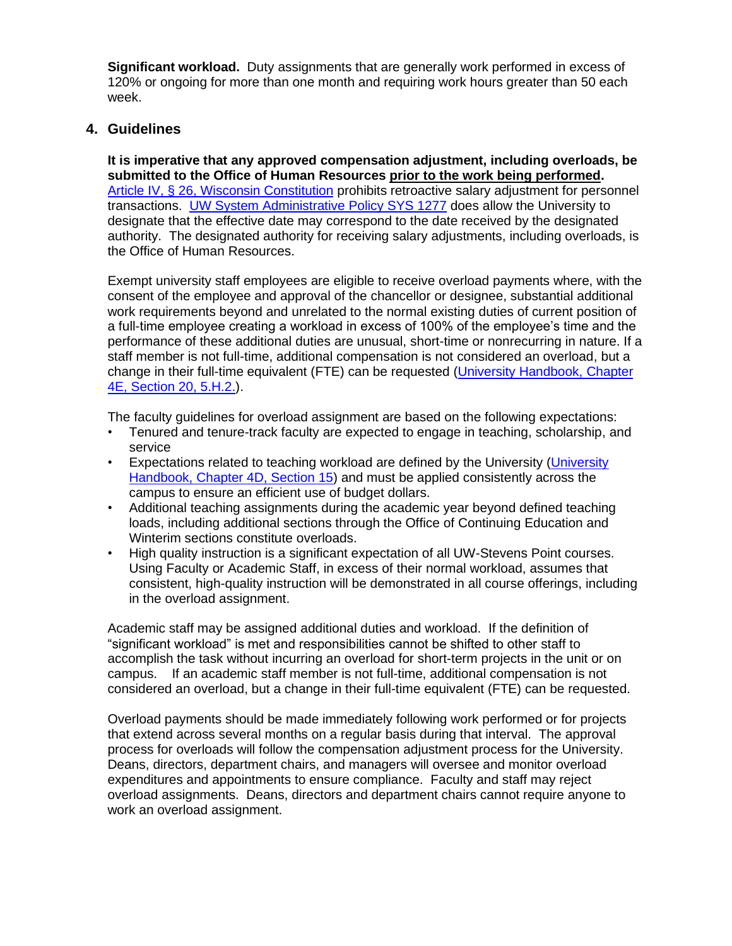**Significant workload.** Duty assignments that are generally work performed in excess of 120% or ongoing for more than one month and requiring work hours greater than 50 each week.

#### **4. Guidelines**

**It is imperative that any approved compensation adjustment, including overloads, be submitted to the Office of Human Resources prior to the work being performed.** [Article IV, § 26, Wisconsin Constitution](http://docs.legis.wisconsin.gov/constitution/wi/000229/000028) prohibits retroactive salary adjustment for personnel transactions. UW [System Administrative Policy](https://www.wisconsin.edu/uw-policies/uw-system-administrative-policies/compensation/) SYS 1277 does allow the University to designate that the effective date may correspond to the date received by the designated authority. The designated authority for receiving salary adjustments, including overloads, is the Office of Human Resources.

Exempt university staff employees are eligible to receive overload payments where, with the consent of the employee and approval of the chancellor or designee, substantial additional work requirements beyond and unrelated to the normal existing duties of current position of a full-time employee creating a workload in excess of 100% of the employee's time and the performance of these additional duties are unusual, short-time or nonrecurring in nature. If a staff member is not full-time, additional compensation is not considered an overload, but a change in their full-time equivalent (FTE) can be requested [\(University Handbook,](https://catalog.uwsp.edu/content.php?catoid=15&navoid=711&hl=overload&returnto=search#overload-payments) Chapter [4E, Section 20, 5.H.2.\)](https://catalog.uwsp.edu/content.php?catoid=15&navoid=711&hl=overload&returnto=search#overload-payments).

The faculty guidelines for overload assignment are based on the following expectations:

- Tenured and tenure-track faculty are expected to engage in teaching, scholarship, and service
- Expectations related to teaching workload are defined by the University (University [Handbook, Chapter 4D,](https://catalog.uwsp.edu/content.php?catoid=10&navoid=492#faculty-teaching-load) Section 15) and must be applied consistently across the campus to ensure an efficient use of budget dollars.
- Additional teaching assignments during the academic year beyond defined teaching loads, including additional sections through the Office of Continuing Education and Winterim sections constitute overloads.
- High quality instruction is a significant expectation of all UW-Stevens Point courses. Using Faculty or Academic Staff, in excess of their normal workload, assumes that consistent, high-quality instruction will be demonstrated in all course offerings, including in the overload assignment.

Academic staff may be assigned additional duties and workload. If the definition of "significant workload" is met and responsibilities cannot be shifted to other staff to accomplish the task without incurring an overload for short-term projects in the unit or on campus. If an academic staff member is not full-time, additional compensation is not considered an overload, but a change in their full-time equivalent (FTE) can be requested.

Overload payments should be made immediately following work performed or for projects that extend across several months on a regular basis during that interval. The approval process for overloads will follow the compensation adjustment process for the University. Deans, directors, department chairs, and managers will oversee and monitor overload expenditures and appointments to ensure compliance. Faculty and staff may reject overload assignments. Deans, directors and department chairs cannot require anyone to work an overload assignment.